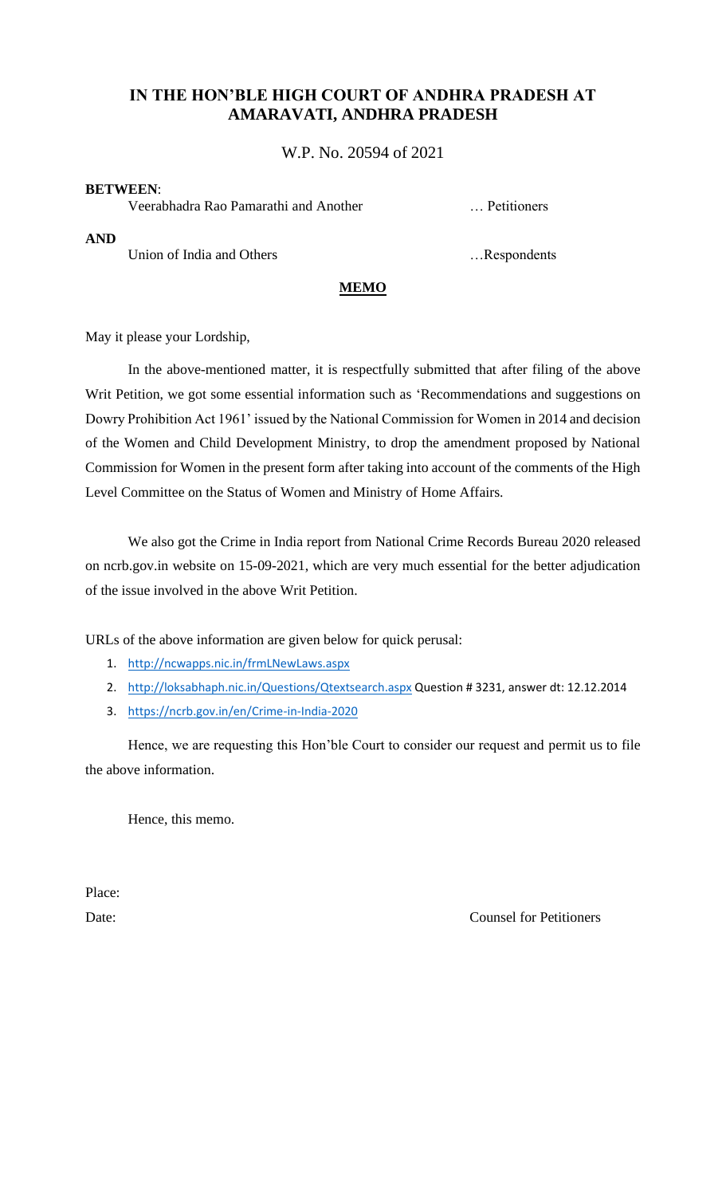### **IN THE HON'BLE HIGH COURT OF ANDHRA PRADESH AT AMARAVATI, ANDHRA PRADESH**

W.P. No. 20594 of 2021

#### **BETWEEN**:

Veerabhadra Rao Pamarathi and Another … Petitioners

**AND**

Union of India and Others **Exercise 2.1** million of India and Others **Exercise 2.** meson of India and Others **Exercise 2.** meson of India and Others **Exercise 2.** meson of India and Others **Exercise 2.** meson of India and

### **MEMO**

May it please your Lordship,

In the above-mentioned matter, it is respectfully submitted that after filing of the above Writ Petition, we got some essential information such as 'Recommendations and suggestions on Dowry Prohibition Act 1961' issued by the National Commission for Women in 2014 and decision of the Women and Child Development Ministry, to drop the amendment proposed by National Commission for Women in the present form after taking into account of the comments of the High Level Committee on the Status of Women and Ministry of Home Affairs.

We also got the Crime in India report from National Crime Records Bureau 2020 released on ncrb.gov.in website on 15-09-2021, which are very much essential for the better adjudication of the issue involved in the above Writ Petition.

URLs of the above information are given below for quick perusal:

- 1. <http://ncwapps.nic.in/frmLNewLaws.aspx>
- 2. <http://loksabhaph.nic.in/Questions/Qtextsearch.aspx> Question # 3231, answer dt: 12.12.2014
- 3. <https://ncrb.gov.in/en/Crime-in-India-2020>

Hence, we are requesting this Hon'ble Court to consider our request and permit us to file the above information.

Hence, this memo.

Place:

Date: Counsel for Petitioners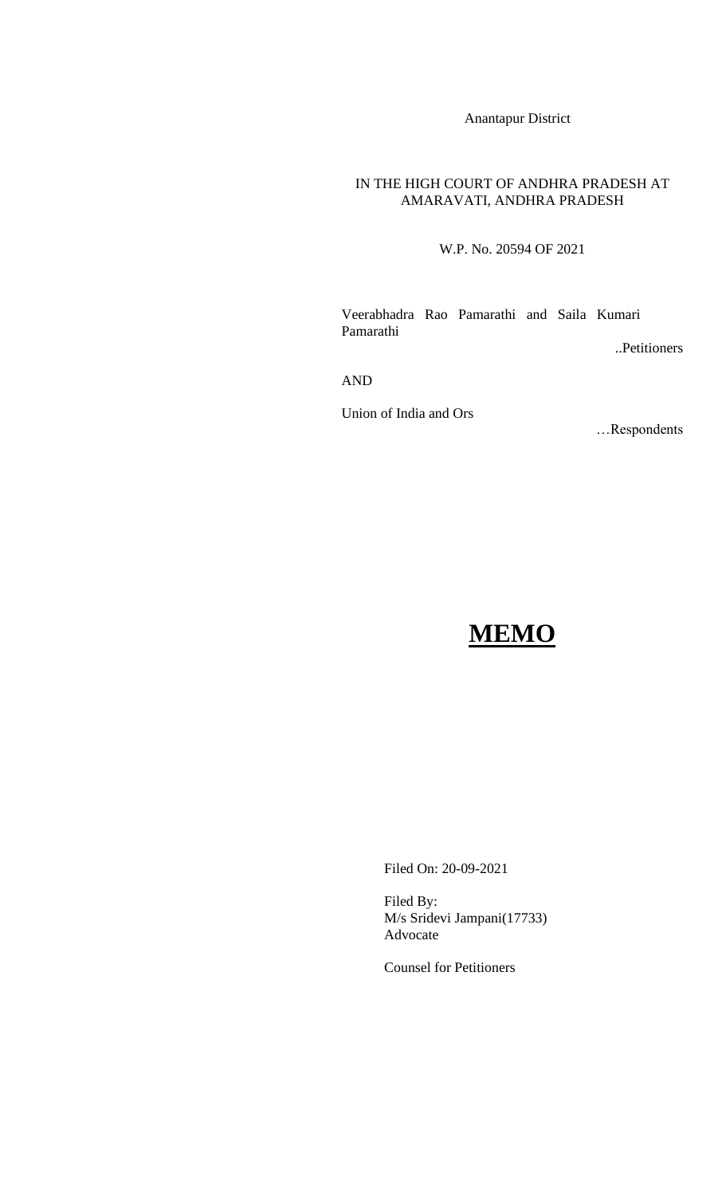Anantapur District

#### IN THE HIGH COURT OF ANDHRA PRADESH AT AMARAVATI, ANDHRA PRADESH

W.P. No. 20594 OF 2021

Veerabhadra Rao Pamarathi and Saila Kumari Pamarathi

..Petitioners

AND

Union of India and Ors

…Respondents

# **MEMO**

Filed On: 20-09-2021

Filed By: M/s Sridevi Jampani(17733) Advocate

Counsel for Petitioners